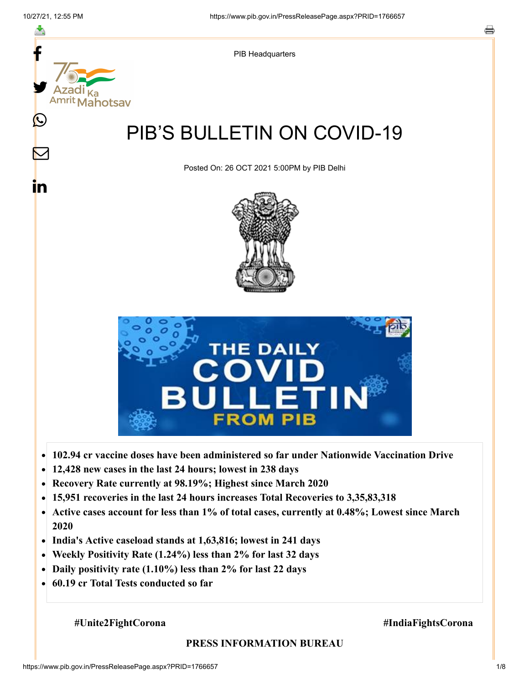

- **102.94 cr vaccine doses have been administered so far under Nationwide Vaccination Drive**  $\bullet$
- **12,428 new cases in the last 24 hours; lowest in 238 days**  $\bullet$
- **Recovery Rate currently at 98.19%; Highest since March 2020**
- **15,951 recoveries in the last 24 hours increases Total Recoveries to 3,35,83,318**  $\bullet$
- **Active cases account for less than 1% of total cases, currently at 0.48%; Lowest since March**  $\bullet$ **2020**
- **India's Active caseload stands at 1,63,816; lowest in 241 days**
- **Weekly Positivity Rate (1.24%) less than 2% for last 32 days**  $\bullet$
- **Daily positivity rate (1.10%) less than 2% for last 22 days**  $\bullet$
- **60.19 cr Total Tests conducted so far**  $\bullet$

#### **#Unite2FightCorona #IndiaFightsCorona**

#### **PRESS INFORMATION BUREAU**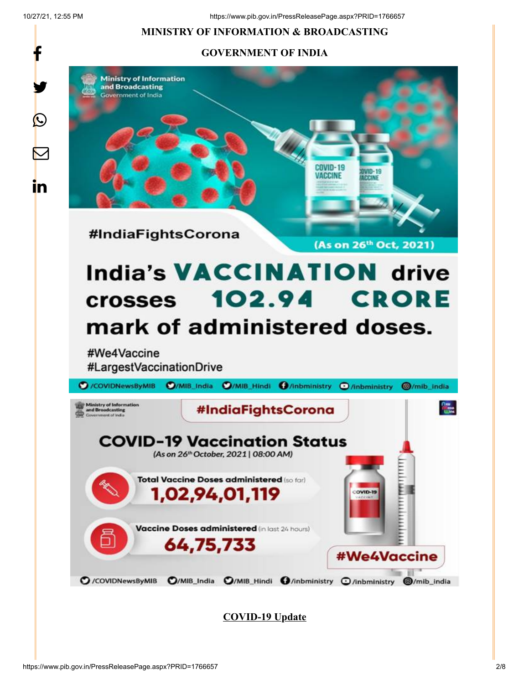f

 $\bigcirc$ 

 $\bm \nabla$ 

in

10/27/21, 12:55 PM https://www.pib.gov.in/PressReleasePage.aspx?PRID=1766657

# **MINISTRY OF INFORMATION & BROADCASTING**

# **GOVERNMENT OF INDIA**



**COVID-19 Update**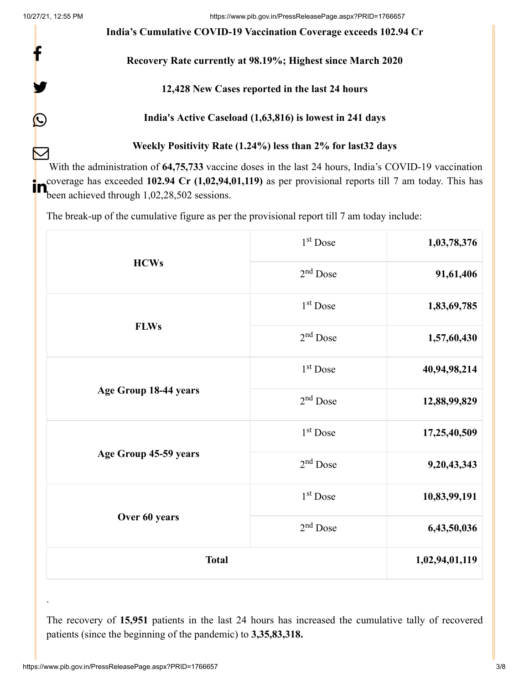f

y.

 $\bigcirc$ 

**India's Cumulative COVID-19 Vaccination Coverage exceeds 102.94 Cr**

#### **Recovery Rate currently at 98.19%; Highest since March 2020**

#### **12,428 New Cases reported in the last 24 hours**

**India's Active Caseload (1,63,816) is lowest in 241 days**

#### **Weekly Positivity Rate (1.24%) less than 2% for last32 days**

With the administration of **64,75,733** vaccine doses in the last 24 hours, India's COVID-19 vaccination coverage has exceeded **102.94 Cr (1,02,94,01,119)** as per provisional reports till 7 am today. This has  $\sum_{\text{been achieved through }1,02,28,502}^{\text{coverage has exceeded }102.94 \text{ Cr } (1,02,94,101)$  $\bm{\nabla}$ 

The break-up of the cumulative figure as per the provisional report till 7 am today include:

| <b>HCWs</b>           | $1st$ Dose           | 1,03,78,376    |
|-----------------------|----------------------|----------------|
|                       | $2nd$ Dose           | 91,61,406      |
| <b>FLWs</b>           | 1 <sup>st</sup> Dose | 1,83,69,785    |
|                       | $2nd$ Dose           | 1,57,60,430    |
| Age Group 18-44 years | 1 <sup>st</sup> Dose | 40,94,98,214   |
|                       | 2 <sup>nd</sup> Dose | 12,88,99,829   |
| Age Group 45-59 years | 1 <sup>st</sup> Dose | 17,25,40,509   |
|                       | 2 <sup>nd</sup> Dose | 9,20,43,343    |
| Over 60 years         | 1 <sup>st</sup> Dose | 10,83,99,191   |
|                       | 2 <sup>nd</sup> Dose | 6,43,50,036    |
| <b>Total</b>          |                      | 1,02,94,01,119 |

The recovery of **15,951** patients in the last 24 hours has increased the cumulative tally of recovered patients (since the beginning of the pandemic) to **3,35,83,318.**

.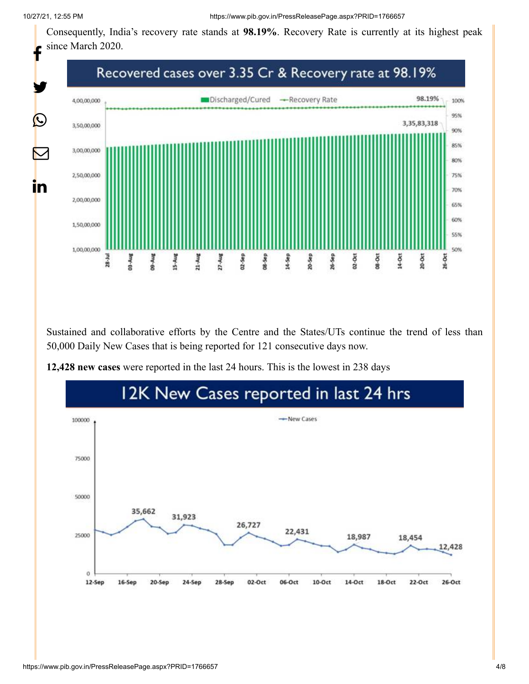Consequently, India's recovery rate stands at **98.19%**. Recovery Rate is currently at its highest peak since March 2020.



Sustained and collaborative efforts by the Centre and the States/UTs continue the trend of less than 50,000 Daily New Cases that is being reported for 121 consecutive days now.



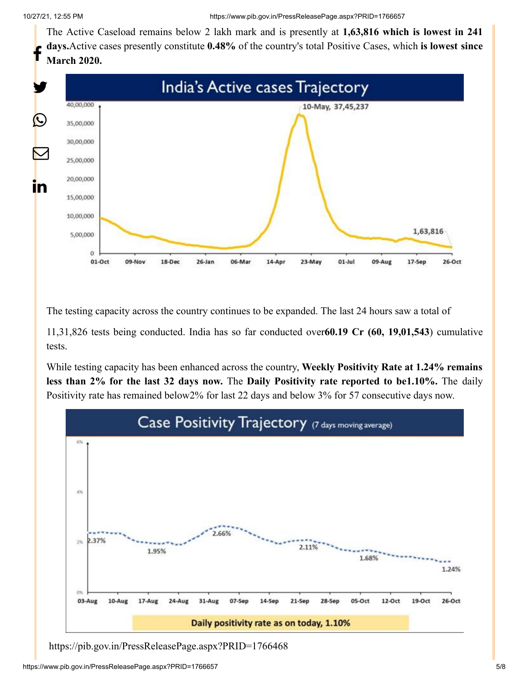The Active Caseload remains below 2 lakh mark and is presently at **1,63,816 which is lowest in 241 days.**Active cases presently constitute **0.48%** of the country's total Positive Cases, which **is lowest since March 2020.** f



The testing capacity across the country continues to be expanded. The last 24 hours saw a total of

11,31,826 tests being conducted. India has so far conducted over**60.19 Cr (60, 19,01,543**) cumulative tests.

While testing capacity has been enhanced across the country, **Weekly Positivity Rate at 1.24% remains less than 2% for the last 32 days now.** The **Daily Positivity rate reported to be1.10%.** The daily Positivity rate has remained below2% for last 22 days and below 3% for 57 consecutive days now.



<https://pib.gov.in/PressReleasePage.aspx?PRID=1766468>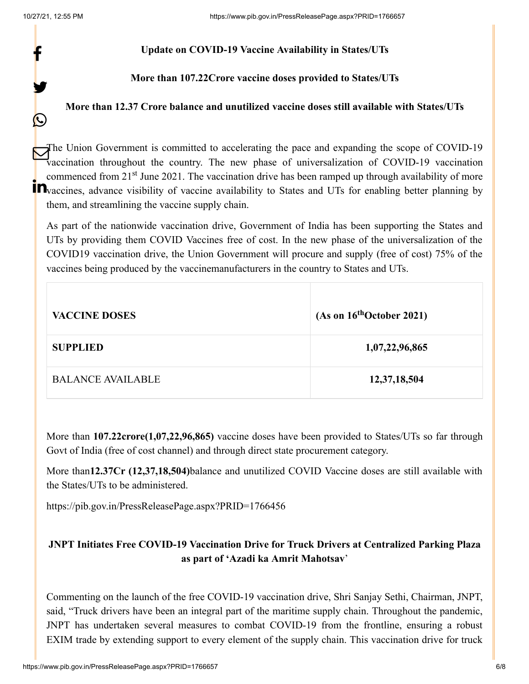f

y.

 $\bigcirc$ 

#### **Update on COVID-19 Vaccine Availability in States/UTs**

**More than 107.22Crore vaccine doses provided to States/UTs**

### **More than 12.37 Crore balance and unutilized vaccine doses still available with States/UTs**

The Union Government is committed to accelerating the pace and expanding the scope of COVID-19 vaccination throughout the country. The new phase of universalization of COVID-19 vaccination commenced from 21<sup>st</sup> June 2021. The vaccination drive has been ramped up through availability of more **T**<br>**T**We vaccines, advance visibility of vaccine availability to States and UTs for enabling better planning by them, and streamlining the vaccine supply chain.

As part of the nationwide vaccination drive, Government of India has been supporting the States and UTs by providing them COVID Vaccines free of cost. In the new phase of the universalization of the COVID19 vaccination drive, the Union Government will procure and supply (free of cost) 75% of the vaccines being produced by the vaccinemanufacturers in the country to States and UTs.

| <b>VACCINE DOSES</b>     | (As on $16^{th}$ October 2021) |
|--------------------------|--------------------------------|
| <b>SUPPLIED</b>          | 1,07,22,96,865                 |
| <b>BALANCE AVAILABLE</b> | 12,37,18,504                   |

More than **107.22crore(1,07,22,96,865)** vaccine doses have been provided to States/UTs so far through Govt of India (free of cost channel) and through direct state procurement category.

More than**12.37Cr (12,37,18,504)**balance and unutilized COVID Vaccine doses are still available with the States/UTs to be administered.

<https://pib.gov.in/PressReleasePage.aspx?PRID=1766456>

# **JNPT Initiates Free COVID-19 Vaccination Drive for Truck Drivers at Centralized Parking Plaza as part of 'Azadi ka Amrit Mahotsav**'

Commenting on the launch of the free COVID-19 vaccination drive, Shri Sanjay Sethi, Chairman, JNPT, said, "Truck drivers have been an integral part of the maritime supply chain. Throughout the pandemic, JNPT has undertaken several measures to combat COVID-19 from the frontline, ensuring a robust EXIM trade by extending support to every element of the supply chain. This vaccination drive for truck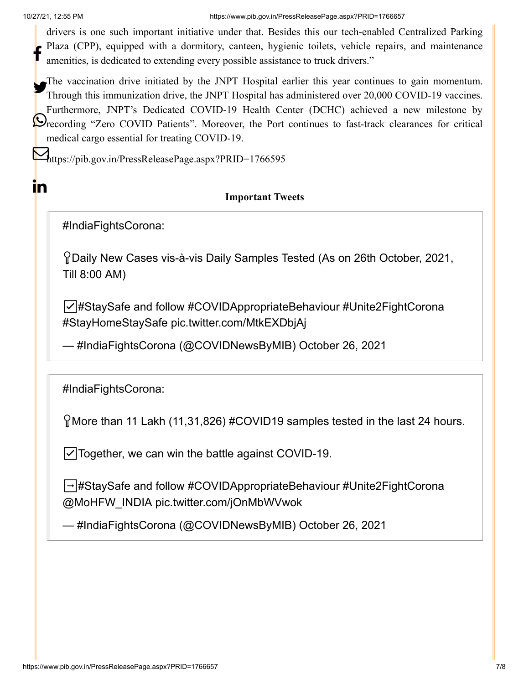<u>in</u>

10/27/21, 12:55 PM https://www.pib.gov.in/PressReleasePage.aspx?PRID=1766657

drivers is one such important initiative under that. Besides this our tech-enabled Centralized Parking Plaza (CPP), equipped with a dormitory, canteen, hygienic toilets, vehicle repairs, and maintenance amenities, is dedicated to extending every possible assistance to truck drivers." f

The vaccination drive initiated by the JNPT Hospital earlier this year continues to gain momentum.<br>Theoreth this immunization drive the INPT Hospital has edministered over 20,000 COVID 10 veceines. Through this immunization drive, the JNPT Hospital has administered over 20,000 COVID-19 vaccines. Furthermore, JNPT's Dedicated COVID-19 Health Center (DCHC) achieved a new milestone by **P**recording "Zero COVID Patients". Moreover, the Port continues to fast-track clearances for critical medical cargo essential for treating COVID-19.

 $\sum_{\text{https://pib.gov.in/PressReleasePage.aspx?PRID=1766595}$  $\sum_{\text{https://pib.gov.in/PressReleasePage.aspx?PRID=1766595}$  $\sum_{\text{https://pib.gov.in/PressReleasePage.aspx?PRID=1766595}$ 

# **Important Tweets**

[#IndiaFightsCorona](https://twitter.com/hashtag/IndiaFightsCorona?src=hash&ref_src=twsrc%5Etfw):

Daily New Cases vis-à-vis Daily Samples Tested (As on 26th October, 2021, Till 8:00 AM)

☑️[#StaySafe](https://twitter.com/hashtag/StaySafe?src=hash&ref_src=twsrc%5Etfw) and follow [#COVIDAppropriateBehaviour](https://twitter.com/hashtag/COVIDAppropriateBehaviour?src=hash&ref_src=twsrc%5Etfw) [#Unite2FightCorona](https://twitter.com/hashtag/Unite2FightCorona?src=hash&ref_src=twsrc%5Etfw) [#StayHomeStaySafe](https://twitter.com/hashtag/StayHomeStaySafe?src=hash&ref_src=twsrc%5Etfw) [pic.twitter.com/MtkEXDbjAj](https://t.co/MtkEXDbjAj)

— #IndiaFightsCorona (@COVIDNewsByMIB) [October 26, 2021](https://twitter.com/COVIDNewsByMIB/status/1452934813787123713?ref_src=twsrc%5Etfw)

[#IndiaFightsCorona](https://twitter.com/hashtag/IndiaFightsCorona?src=hash&ref_src=twsrc%5Etfw):

More than 11 Lakh (11,31,826) [#COVID19](https://twitter.com/hashtag/COVID19?src=hash&ref_src=twsrc%5Etfw) samples tested in the last 24 hours.

☑️Together, we can win the battle against COVID-19.

➡️[#StaySafe](https://twitter.com/hashtag/StaySafe?src=hash&ref_src=twsrc%5Etfw) and follow [#COVIDAppropriateBehaviour](https://twitter.com/hashtag/COVIDAppropriateBehaviour?src=hash&ref_src=twsrc%5Etfw) [#Unite2FightCorona](https://twitter.com/hashtag/Unite2FightCorona?src=hash&ref_src=twsrc%5Etfw) [@MoHFW\\_INDIA](https://twitter.com/MoHFW_INDIA?ref_src=twsrc%5Etfw) [pic.twitter.com/jOnMbWVwok](https://t.co/jOnMbWVwok)

— #IndiaFightsCorona (@COVIDNewsByMIB) [October 26, 2021](https://twitter.com/COVIDNewsByMIB/status/1452899948555485186?ref_src=twsrc%5Etfw)